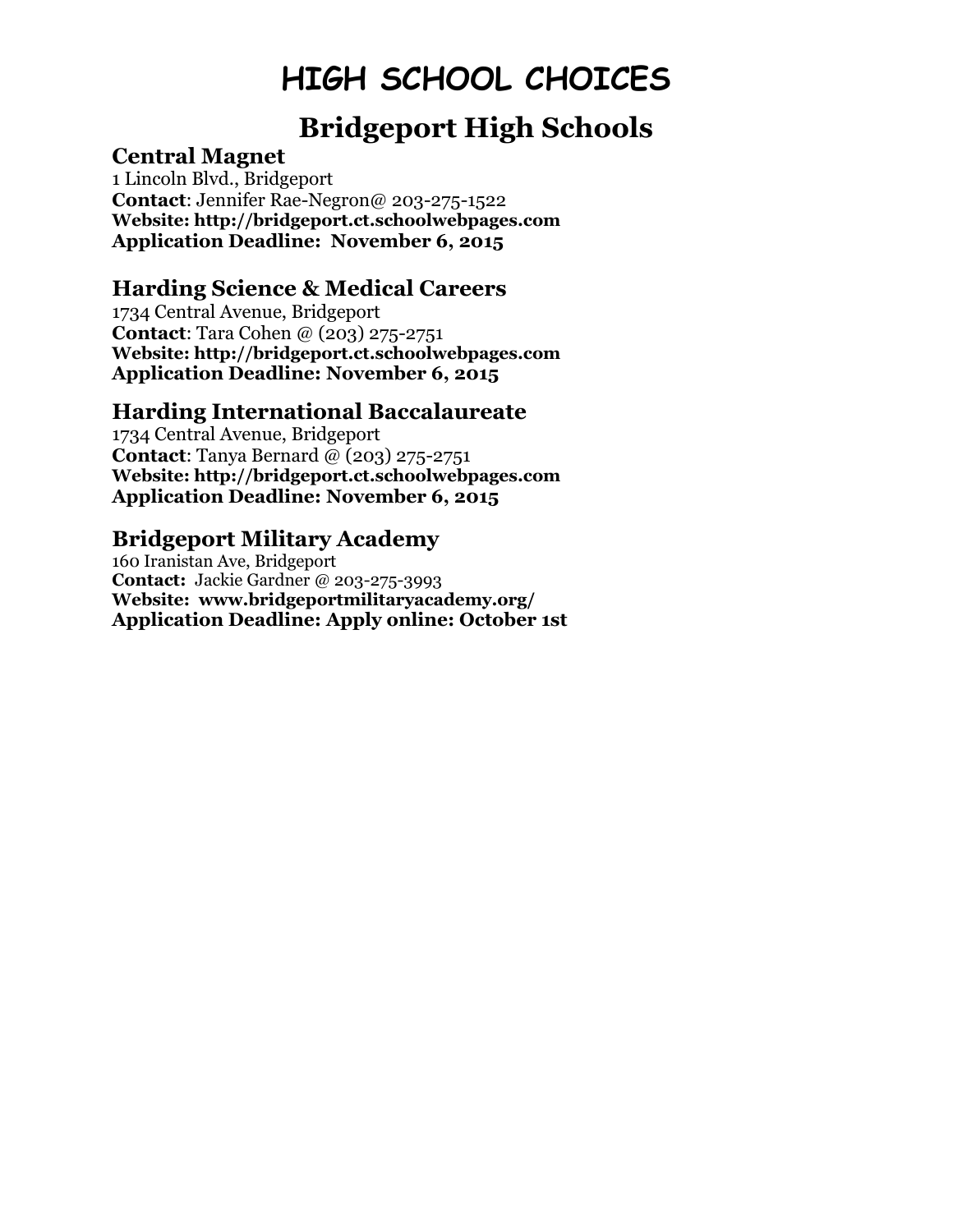### **Bridgeport High Schools**

#### **Central Magnet**

1 Lincoln Blvd., Bridgeport **Contact**: Jennifer Rae-Negron@ 203-275-1522 **Website: http://bridgeport.ct.schoolwebpages.com Application Deadline: November 6, 2015**

#### **Harding Science & Medical Careers**

1734 Central Avenue, Bridgeport **Contact**: Tara Cohen @ (203) 275-2751 **Website: http://bridgeport.ct.schoolwebpages.com Application Deadline: November 6, 2015**

#### **Harding International Baccalaureate**

1734 Central Avenue, Bridgeport **Contact**: Tanya Bernard @ (203) 275-2751 **Website: http://bridgeport.ct.schoolwebpages.com Application Deadline: November 6, 2015**

#### **Bridgeport Military Academy**

160 Iranistan Ave, Bridgeport **Contact:** Jackie Gardner @ 203-275-3993 **Website: www.bridgeportmilitaryacademy.org/ Application Deadline: Apply online: October 1st**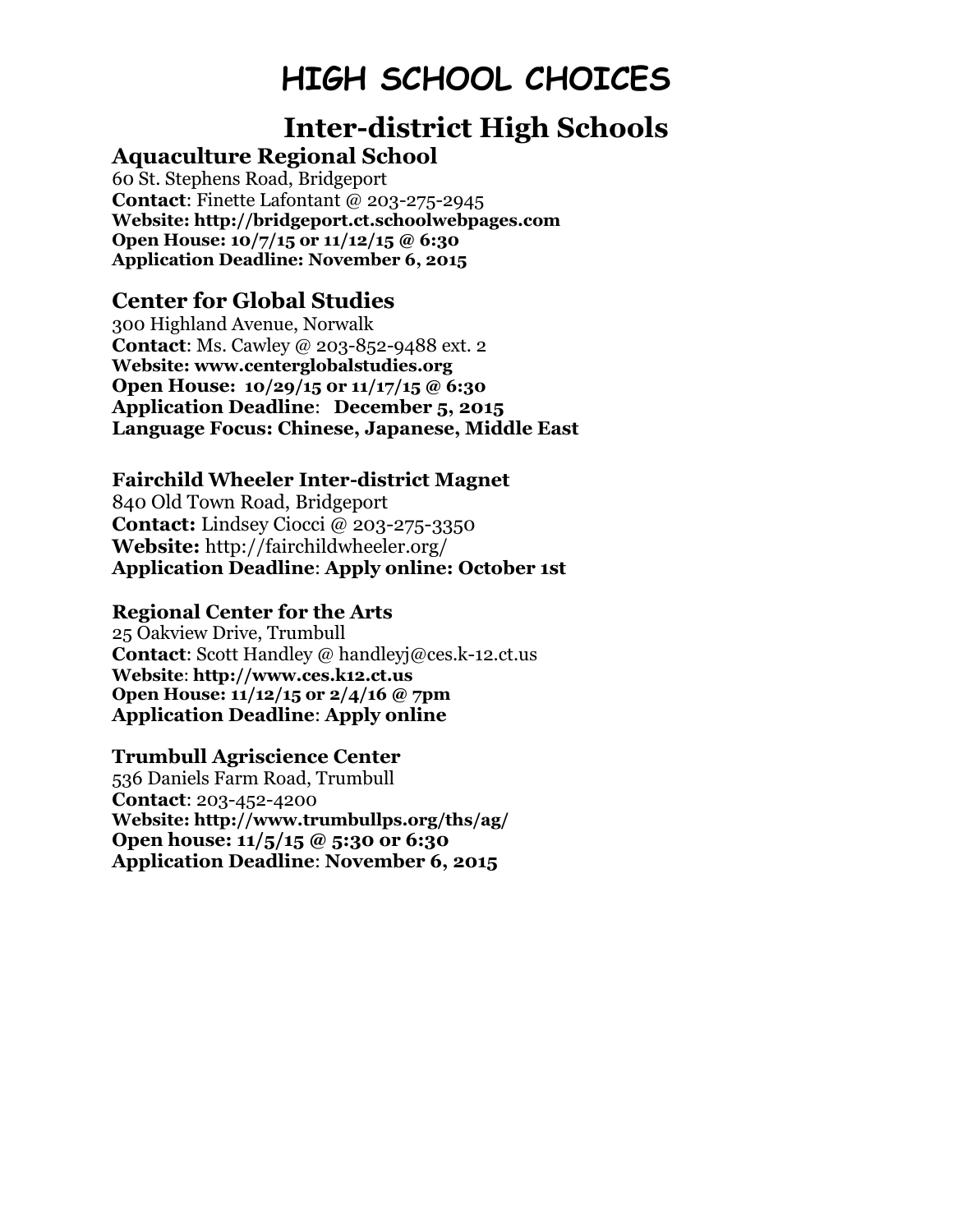# **Inter-district High Schools**

**Aquaculture Regional School** 60 St. Stephens Road, Bridgeport

**Contact**: Finette Lafontant @ 203-275-2945 **Website: http://bridgeport.ct.schoolwebpages.com Open House: 10/7/15 or 11/12/15 @ 6:30 Application Deadline: November 6, 2015**

#### **Center for Global Studies**

300 Highland Avenue, Norwalk **Contact**: Ms. Cawley @ 203-852-9488 ext. 2 **Website: www.centerglobalstudies.org Open House: 10/29/15 0r 11/17/15 @ 6:30 Application Deadline**: **December 5, 2015 Language Focus: Chinese, Japanese, Middle East**

#### **Fairchild Wheeler Inter-district Magnet**

840 Old Town Road, Bridgeport **Contact:** Lindsey Ciocci @ 203-275-3350 **Website:** http://fairchildwheeler.org/ **Application Deadline**: **Apply online: October 1st**

#### **Regional Center for the Arts**

25 Oakview Drive, Trumbull **Contact**: Scott Handley @ handleyj@ces.k-12.ct.us **Website**: **http://www.ces.k12.ct.us Open House: 11/12/15 or 2/4/16 @ 7pm Application Deadline**: **Apply online**

#### **Trumbull Agriscience Center**

536 Daniels Farm Road, Trumbull **Contact**: 203-452-4200 **Website: http://www.trumbullps.org/ths/ag/ Open house: 11/5/15 @ 5:30 or 6:30 Application Deadline**: **November 6, 2015**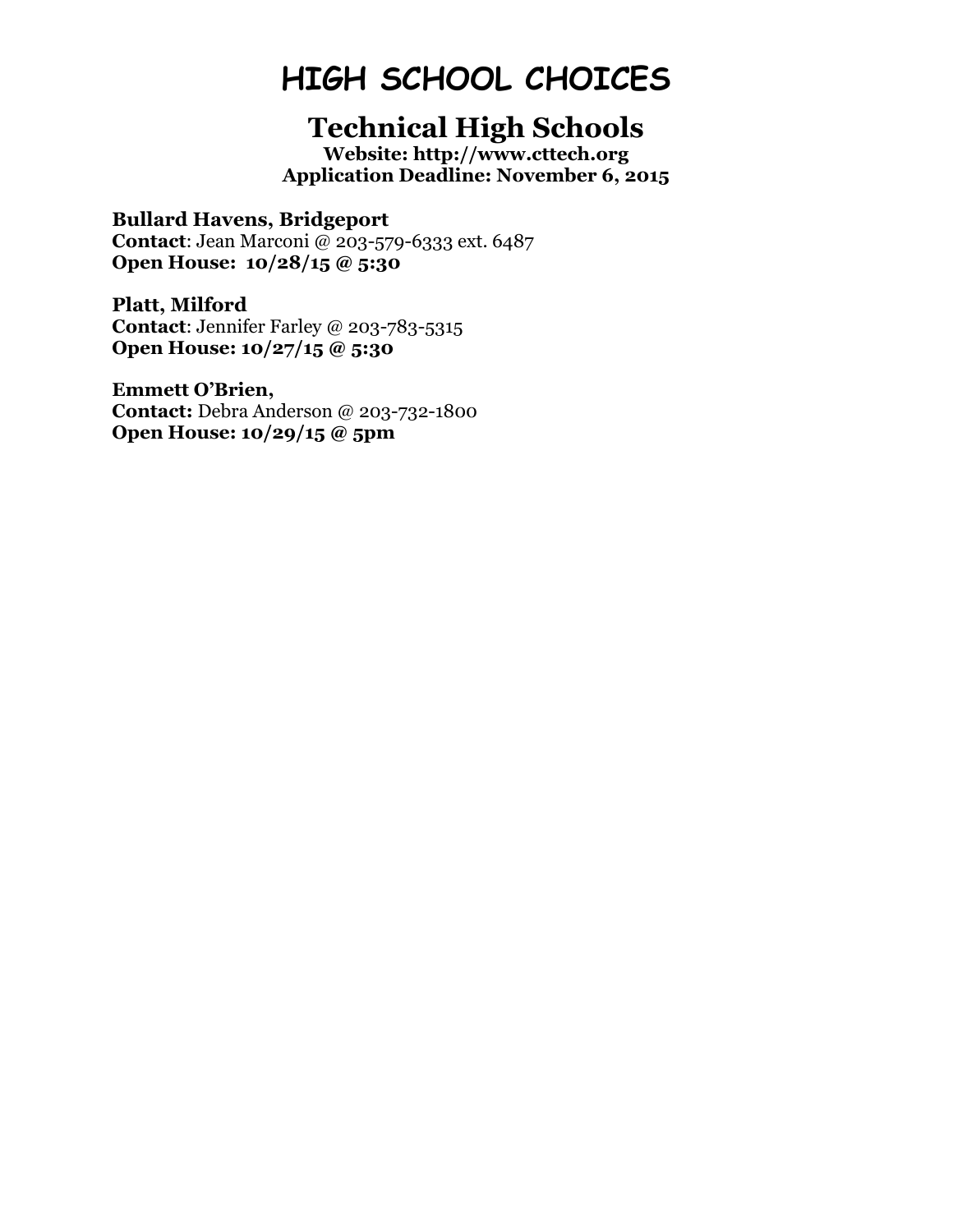### **Technical High Schools**

**Website: http://www.cttech.org Application Deadline: November 6, 2015**

#### **Bullard Havens, Bridgeport**

**Contact**: Jean Marconi @ 203-579-6333 ext. 6487 **Open House: 10/28/15 @ 5:30**

**Platt, Milford Contact**: Jennifer Farley @ 203-783-5315 **Open House: 10/27/15 @ 5:30**

**Emmett O'Brien,** 

**Contact:** Debra Anderson @ 203-732-1800 **Open House: 10/29/15 @ 5pm**